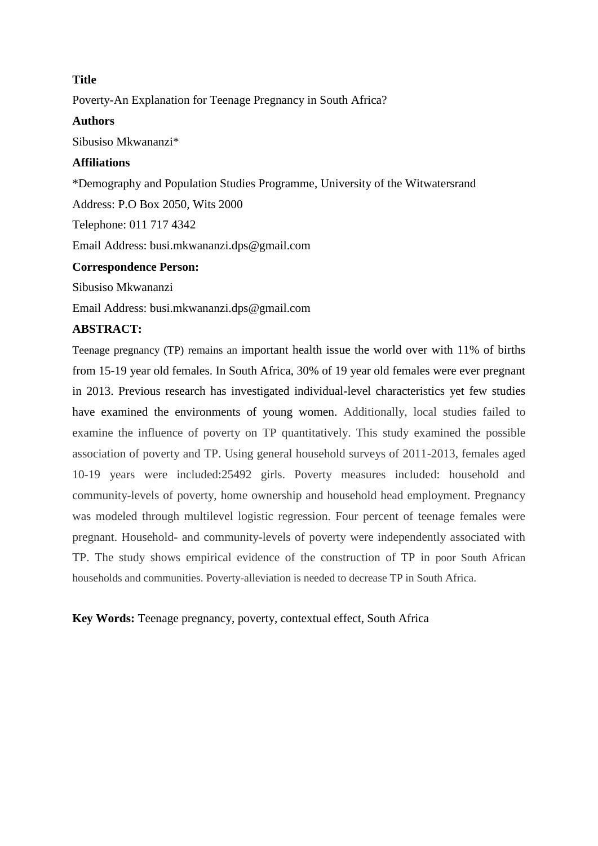# **Title**

Poverty-An Explanation for Teenage Pregnancy in South Africa?

### **Authors**

Sibusiso Mkwananzi\*

# **Affiliations**

\*Demography and Population Studies Programme, University of the Witwatersrand Address: P.O Box 2050, Wits 2000 Telephone: 011 717 4342 Email Address: busi.mkwananzi.dps@gmail.com **Correspondence Person:** 

Sibusiso Mkwananzi

Email Address: busi.mkwananzi.dps@gmail.com

# **ABSTRACT:**

Teenage pregnancy (TP) remains an important health issue the world over with 11% of births from 15-19 year old females. In South Africa, 30% of 19 year old females were ever pregnant in 2013. Previous research has investigated individual-level characteristics yet few studies have examined the environments of young women. Additionally, local studies failed to examine the influence of poverty on TP quantitatively. This study examined the possible association of poverty and TP. Using general household surveys of 2011-2013, females aged 10-19 years were included:25492 girls. Poverty measures included: household and community-levels of poverty, home ownership and household head employment. Pregnancy was modeled through multilevel logistic regression. Four percent of teenage females were pregnant. Household- and community-levels of poverty were independently associated with TP. The study shows empirical evidence of the construction of TP in poor South African households and communities. Poverty-alleviation is needed to decrease TP in South Africa.

**Key Words:** Teenage pregnancy, poverty, contextual effect, South Africa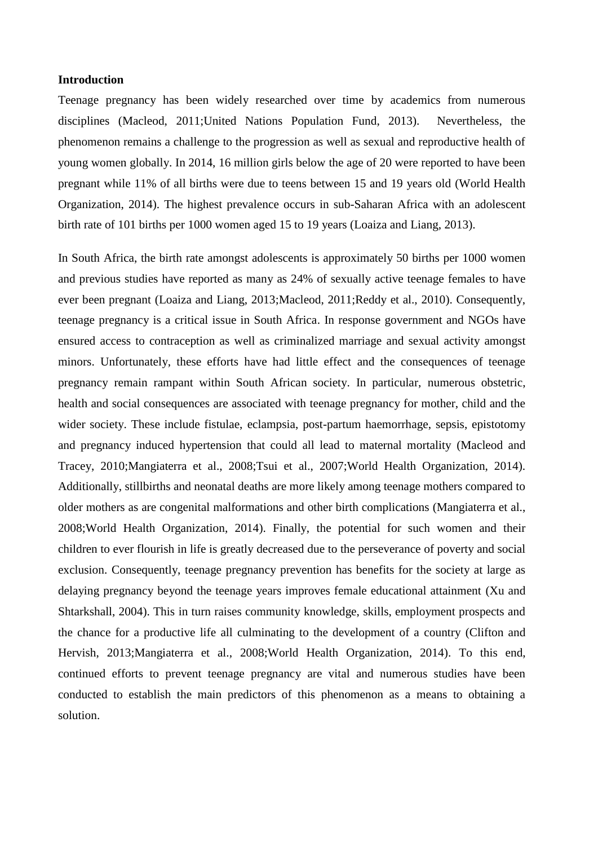#### **Introduction**

Teenage pregnancy has been widely researched over time by academics from numerous disciplines [\(Macleod, 2011](#page-11-0)[;United Nations Population Fund, 2013\)](#page-12-0). Nevertheless, the phenomenon remains a challenge to the progression as well as sexual and reproductive health of young women globally. In 2014, 16 million girls below the age of 20 were reported to have been pregnant while 11% of all births were due to teens between 15 and 19 years old [\(World Health](#page-12-1)  [Organization, 2014\)](#page-12-1). The highest prevalence occurs in sub-Saharan Africa with an adolescent birth rate of 101 births per 1000 women aged 15 to 19 years [\(Loaiza and Liang, 2013\)](#page-11-1).

In South Africa, the birth rate amongst adolescents is approximately 50 births per 1000 women and previous studies have reported as many as 24% of sexually active teenage females to have ever been pregnant [\(Loaiza and Liang, 2013](#page-11-1)[;Macleod, 2011;](#page-11-0)[Reddy et al., 2010\)](#page-12-2). Consequently, teenage pregnancy is a critical issue in South Africa. In response government and NGOs have ensured access to contraception as well as criminalized marriage and sexual activity amongst minors. Unfortunately, these efforts have had little effect and the consequences of teenage pregnancy remain rampant within South African society. In particular, numerous obstetric, health and social consequences are associated with teenage pregnancy for mother, child and the wider society. These include fistulae, eclampsia, post-partum haemorrhage, sepsis, epistotomy and pregnancy induced hypertension that could all lead to maternal mortality [\(Macleod and](#page-12-3)  [Tracey, 2010](#page-12-3)[;Mangiaterra et al., 2008;](#page-12-4)[Tsui et al., 2007;](#page-12-5)[World Health Organization, 2014\)](#page-12-1). Additionally, stillbirths and neonatal deaths are more likely among teenage mothers compared to older mothers as are congenital malformations and other birth complications [\(Mangiaterra et al.,](#page-12-4)  [2008](#page-12-4)[;World Health Organization, 2014\)](#page-12-1). Finally, the potential for such women and their children to ever flourish in life is greatly decreased due to the perseverance of poverty and social exclusion. Consequently, teenage pregnancy prevention has benefits for the society at large as delaying pregnancy beyond the teenage years improves female educational attainment [\(Xu and](#page-12-6)  [Shtarkshall, 2004\)](#page-12-6). This in turn raises community knowledge, skills, employment prospects and the chance for a productive life all culminating to the development of a country [\(Clifton and](#page-11-2)  [Hervish, 2013;](#page-11-2)[Mangiaterra et al., 2008](#page-12-4)[;World Health Organization, 2014\)](#page-12-1). To this end, continued efforts to prevent teenage pregnancy are vital and numerous studies have been conducted to establish the main predictors of this phenomenon as a means to obtaining a solution.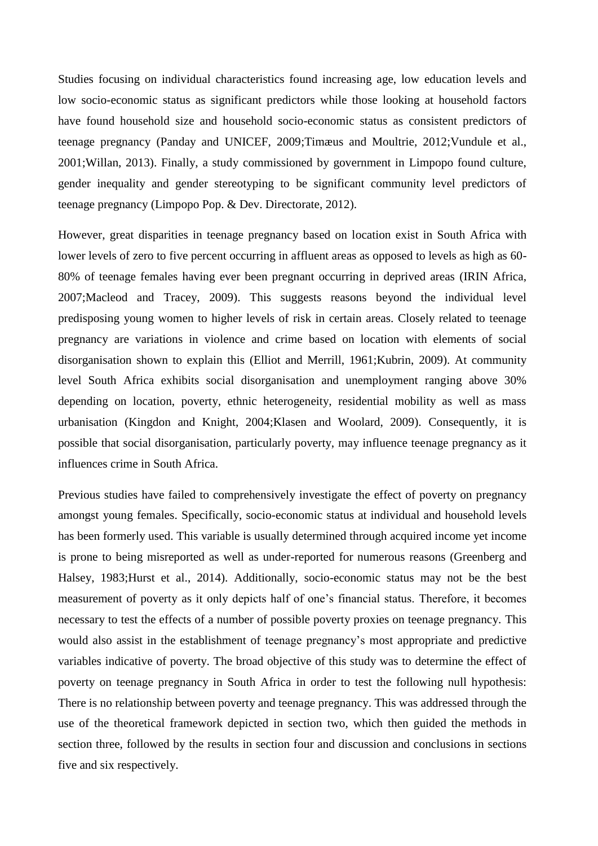Studies focusing on individual characteristics found increasing age, low education levels and low socio-economic status as significant predictors while those looking at household factors have found household size and household socio-economic status as consistent predictors of teenage pregnancy [\(Panday and UNICEF, 2009](#page-12-7)[;Timæus and Moultrie, 2012](#page-12-8)[;Vundule et al.,](#page-12-9)  [2001](#page-12-9)[;Willan, 2013\)](#page-12-10). Finally, a study commissioned by government in Limpopo found culture, gender inequality and gender stereotyping to be significant community level predictors of teenage pregnancy [\(Limpopo Pop. & Dev. Directorate, 2012\)](#page-11-3).

However, great disparities in teenage pregnancy based on location exist in South Africa with lower levels of zero to five percent occurring in affluent areas as opposed to levels as high as 60- 80% of teenage females having ever been pregnant occurring in deprived areas [\(IRIN Africa,](#page-11-4)  [2007](#page-11-4)[;Macleod and Tracey, 2009\)](#page-11-5). This suggests reasons beyond the individual level predisposing young women to higher levels of risk in certain areas. Closely related to teenage pregnancy are variations in violence and crime based on location with elements of social disorganisation shown to explain this [\(Elliot and Merrill, 1961](#page-11-6)[;Kubrin, 2009\)](#page-11-7). At community level South Africa exhibits social disorganisation and unemployment ranging above 30% depending on location, poverty, ethnic heterogeneity, residential mobility as well as mass urbanisation [\(Kingdon and Knight, 2004;](#page-11-8)[Klasen and Woolard, 2009\)](#page-11-9). Consequently, it is possible that social disorganisation, particularly poverty, may influence teenage pregnancy as it influences crime in South Africa.

Previous studies have failed to comprehensively investigate the effect of poverty on pregnancy amongst young females. Specifically, socio-economic status at individual and household levels has been formerly used. This variable is usually determined through acquired income yet income is prone to being misreported as well as under-reported for numerous reasons [\(Greenberg and](#page-11-10)  [Halsey, 1983;](#page-11-10)[Hurst et al., 2014\)](#page-11-11). Additionally, socio-economic status may not be the best measurement of poverty as it only depicts half of one's financial status. Therefore, it becomes necessary to test the effects of a number of possible poverty proxies on teenage pregnancy. This would also assist in the establishment of teenage pregnancy's most appropriate and predictive variables indicative of poverty. The broad objective of this study was to determine the effect of poverty on teenage pregnancy in South Africa in order to test the following null hypothesis: There is no relationship between poverty and teenage pregnancy. This was addressed through the use of the theoretical framework depicted in section two, which then guided the methods in section three, followed by the results in section four and discussion and conclusions in sections five and six respectively.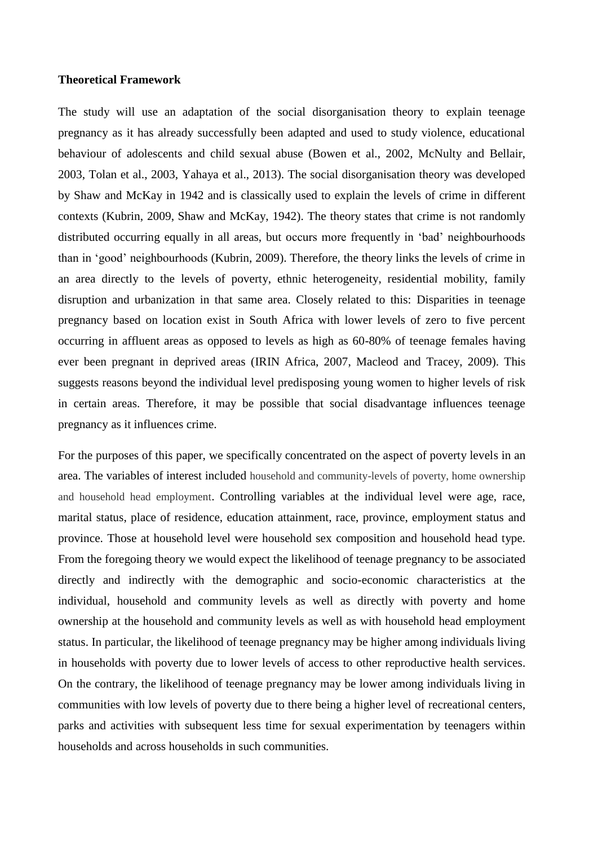### **Theoretical Framework**

The study will use an adaptation of the social disorganisation theory to explain teenage pregnancy as it has already successfully been adapted and used to study violence, educational behaviour of adolescents and child sexual abuse [\(Bowen et al., 2002,](#page-11-10) McNulty and Bellair, 2003, Tolan et al., 2003, Yahaya et al., 2013). The social disorganisation theory was developed by Shaw and McKay in 1942 and is classically used to explain the levels of crime in different contexts [\(Kubrin, 2009,](#page-12-9) Shaw and McKay, 1942). The theory states that crime is not randomly distributed occurring equally in all areas, but occurs more frequently in 'bad' neighbourhoods than in 'good' neighbourhoods [\(Kubrin, 2009\)](#page-12-9). Therefore, the theory links the levels of crime in an area directly to the levels of poverty, ethnic heterogeneity, residential mobility, family disruption and urbanization in that same area. Closely related to this: Disparities in teenage pregnancy based on location exist in South Africa with lower levels of zero to five percent occurring in affluent areas as opposed to levels as high as 60-80% of teenage females having ever been pregnant in deprived areas [\(IRIN Africa, 2007,](#page-12-7) Macleod and Tracey, 2009). This suggests reasons beyond the individual level predisposing young women to higher levels of risk in certain areas. Therefore, it may be possible that social disadvantage influences teenage pregnancy as it influences crime.

For the purposes of this paper, we specifically concentrated on the aspect of poverty levels in an area. The variables of interest included household and community-levels of poverty, home ownership and household head employment. Controlling variables at the individual level were age, race, marital status, place of residence, education attainment, race, province, employment status and province. Those at household level were household sex composition and household head type. From the foregoing theory we would expect the likelihood of teenage pregnancy to be associated directly and indirectly with the demographic and socio-economic characteristics at the individual, household and community levels as well as directly with poverty and home ownership at the household and community levels as well as with household head employment status. In particular, the likelihood of teenage pregnancy may be higher among individuals living in households with poverty due to lower levels of access to other reproductive health services. On the contrary, the likelihood of teenage pregnancy may be lower among individuals living in communities with low levels of poverty due to there being a higher level of recreational centers, parks and activities with subsequent less time for sexual experimentation by teenagers within households and across households in such communities.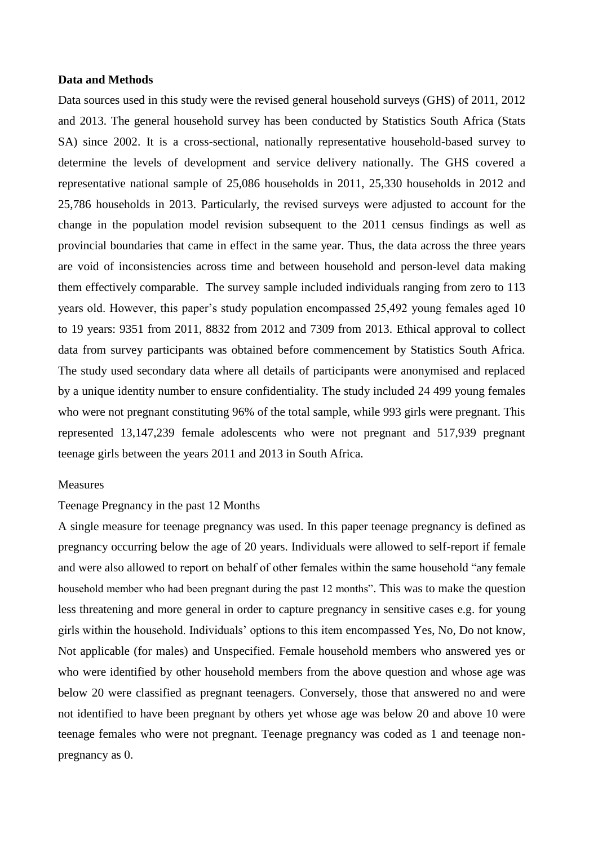#### **Data and Methods**

Data sources used in this study were the revised general household surveys (GHS) of 2011, 2012 and 2013. The general household survey has been conducted by Statistics South Africa (Stats SA) since 2002. It is a cross-sectional, nationally representative household-based survey to determine the levels of development and service delivery nationally. The GHS covered a representative national sample of 25,086 households in 2011, 25,330 households in 2012 and 25,786 households in 2013. Particularly, the revised surveys were adjusted to account for the change in the population model revision subsequent to the 2011 census findings as well as provincial boundaries that came in effect in the same year. Thus, the data across the three years are void of inconsistencies across time and between household and person-level data making them effectively comparable. The survey sample included individuals ranging from zero to 113 years old. However, this paper's study population encompassed 25,492 young females aged 10 to 19 years: 9351 from 2011, 8832 from 2012 and 7309 from 2013. Ethical approval to collect data from survey participants was obtained before commencement by Statistics South Africa. The study used secondary data where all details of participants were anonymised and replaced by a unique identity number to ensure confidentiality. The study included 24 499 young females who were not pregnant constituting 96% of the total sample, while 993 girls were pregnant. This represented 13,147,239 female adolescents who were not pregnant and 517,939 pregnant teenage girls between the years 2011 and 2013 in South Africa.

### Measures

### Teenage Pregnancy in the past 12 Months

A single measure for teenage pregnancy was used. In this paper teenage pregnancy is defined as pregnancy occurring below the age of 20 years. Individuals were allowed to self-report if female and were also allowed to report on behalf of other females within the same household "any female household member who had been pregnant during the past 12 months". This was to make the question less threatening and more general in order to capture pregnancy in sensitive cases e.g. for young girls within the household. Individuals' options to this item encompassed Yes, No, Do not know, Not applicable (for males) and Unspecified. Female household members who answered yes or who were identified by other household members from the above question and whose age was below 20 were classified as pregnant teenagers. Conversely, those that answered no and were not identified to have been pregnant by others yet whose age was below 20 and above 10 were teenage females who were not pregnant. Teenage pregnancy was coded as 1 and teenage nonpregnancy as 0.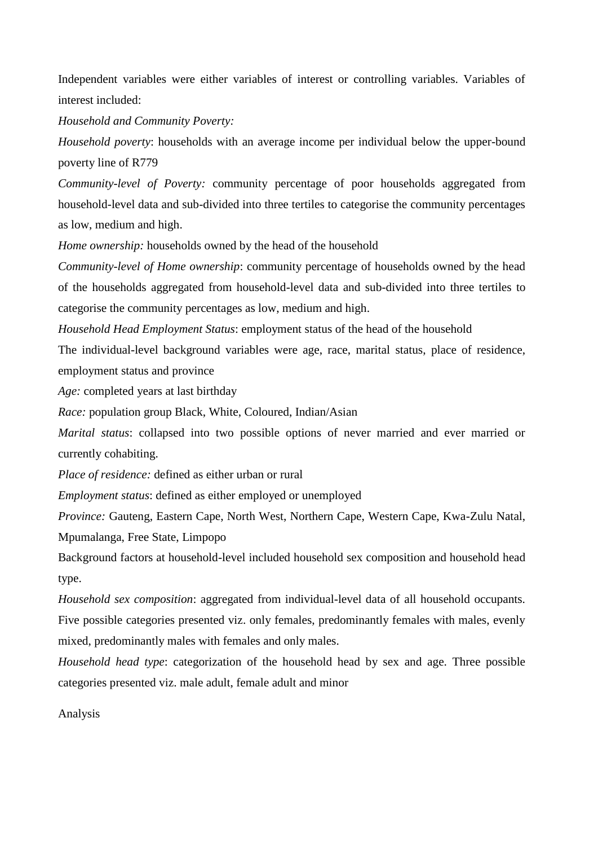Independent variables were either variables of interest or controlling variables. Variables of interest included:

*Household and Community Poverty:* 

*Household poverty*: households with an average income per individual below the upper-bound poverty line of R779

*Community-level of Poverty:* community percentage of poor households aggregated from household-level data and sub-divided into three tertiles to categorise the community percentages as low, medium and high.

*Home ownership:* households owned by the head of the household

*Community-level of Home ownership*: community percentage of households owned by the head of the households aggregated from household-level data and sub-divided into three tertiles to categorise the community percentages as low, medium and high.

*Household Head Employment Status*: employment status of the head of the household

The individual-level background variables were age, race, marital status, place of residence, employment status and province

*Age:* completed years at last birthday

*Race:* population group Black, White, Coloured, Indian/Asian

*Marital status*: collapsed into two possible options of never married and ever married or currently cohabiting.

*Place of residence:* defined as either urban or rural

*Employment status*: defined as either employed or unemployed

*Province:* Gauteng, Eastern Cape, North West, Northern Cape, Western Cape, Kwa-Zulu Natal, Mpumalanga, Free State, Limpopo

Background factors at household-level included household sex composition and household head type.

*Household sex composition*: aggregated from individual-level data of all household occupants. Five possible categories presented viz. only females, predominantly females with males, evenly mixed, predominantly males with females and only males.

*Household head type*: categorization of the household head by sex and age. Three possible categories presented viz. male adult, female adult and minor

Analysis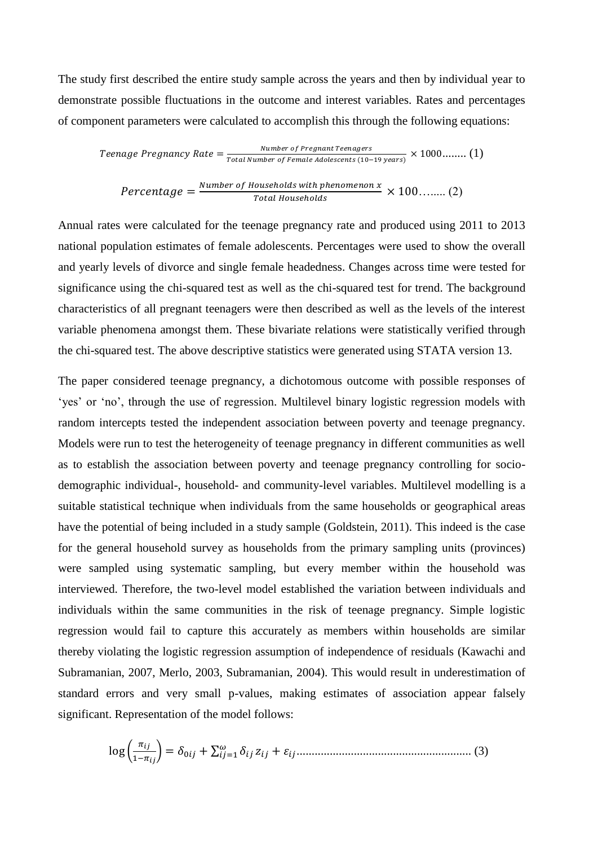The study first described the entire study sample across the years and then by individual year to demonstrate possible fluctuations in the outcome and interest variables. Rates and percentages of component parameters were calculated to accomplish this through the following equations:

Teenage Pregnancy Rate = 
$$
\frac{Number\ of\ Program\ Teenagers}{Total\ Number\ of\ Female\ Adolescents\ (10-19\ years)} \times 1000........(1)
$$

$$
Percentage = \frac{Number\ of\ Households\ with\ phenomenon\ x}{Total\ Households} \times 100 \dots \dots \tag{2}
$$

Annual rates were calculated for the teenage pregnancy rate and produced using 2011 to 2013 national population estimates of female adolescents. Percentages were used to show the overall and yearly levels of divorce and single female headedness. Changes across time were tested for significance using the chi-squared test as well as the chi-squared test for trend. The background characteristics of all pregnant teenagers were then described as well as the levels of the interest variable phenomena amongst them. These bivariate relations were statistically verified through the chi-squared test. The above descriptive statistics were generated using STATA version 13.

The paper considered teenage pregnancy, a dichotomous outcome with possible responses of 'yes' or 'no', through the use of regression. Multilevel binary logistic regression models with random intercepts tested the independent association between poverty and teenage pregnancy. Models were run to test the heterogeneity of teenage pregnancy in different communities as well as to establish the association between poverty and teenage pregnancy controlling for sociodemographic individual-, household- and community-level variables. Multilevel modelling is a suitable statistical technique when individuals from the same households or geographical areas have the potential of being included in a study sample [\(Goldstein, 2011\)](#page-11-5). This indeed is the case for the general household survey as households from the primary sampling units (provinces) were sampled using systematic sampling, but every member within the household was interviewed. Therefore, the two-level model established the variation between individuals and individuals within the same communities in the risk of teenage pregnancy. Simple logistic regression would fail to capture this accurately as members within households are similar thereby violating the logistic regression assumption of independence of residuals [\(Kawachi and](#page-12-5)  [Subramanian, 2007,](#page-12-5) Merlo, 2003, Subramanian, 2004). This would result in underestimation of standard errors and very small p-values, making estimates of association appear falsely significant. Representation of the model follows:

log ( ೕ <sup>ߜ</sup> <sup>∑</sup> <sup>+</sup> ߜ = (ೕ−ଵ (3) ..........................................................ߝ + ݖ ଵ=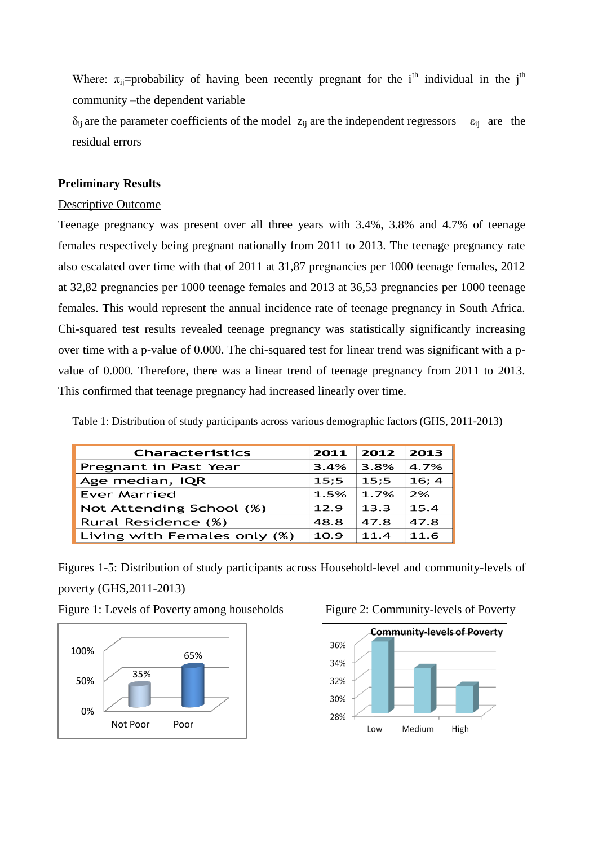Where:  $\pi_{ii}$ =probability of having been recently pregnant for the i<sup>th</sup> individual in the j<sup>th</sup> community –the dependent variable

 $\delta_{ij}$  are the parameter coefficients of the model  $z_{ij}$  are the independent regressors  $\varepsilon_{ij}$  are the residual errors

## **Preliminary Results**

### Descriptive Outcome

Teenage pregnancy was present over all three years with 3.4%, 3.8% and 4.7% of teenage females respectively being pregnant nationally from 2011 to 2013. The teenage pregnancy rate also escalated over time with that of 2011 at 31,87 pregnancies per 1000 teenage females, 2012 at 32,82 pregnancies per 1000 teenage females and 2013 at 36,53 pregnancies per 1000 teenage females. This would represent the annual incidence rate of teenage pregnancy in South Africa. Chi-squared test results revealed teenage pregnancy was statistically significantly increasing over time with a p-value of 0.000. The chi-squared test for linear trend was significant with a pvalue of 0.000. Therefore, there was a linear trend of teenage pregnancy from 2011 to 2013. This confirmed that teenage pregnancy had increased linearly over time.

Table 1: Distribution of study participants across various demographic factors (GHS, 2011-2013)

| <b>Characteristics</b>       | 2011 | 2012 | 2013  |
|------------------------------|------|------|-------|
| Pregnant in Past Year        | 3.4% | 3.8% | 4.7%  |
| Age median, IQR              | 15:5 | 15:5 | 16; 4 |
| Ever Married                 | 1.5% | 1.7% | 2%    |
| Not Attending School (%)     | 12.9 | 13.3 | 15.4  |
| Rural Residence (%)          | 48.8 | 47.8 | 47.8  |
| Living with Females only (%) | 10.9 | 11.4 | 11.6  |

Figures 1-5: Distribution of study participants across Household-level and community-levels of poverty (GHS,2011-2013)

Figure 1: Levels of Poverty among households Figure 2: Community-levels of Poverty





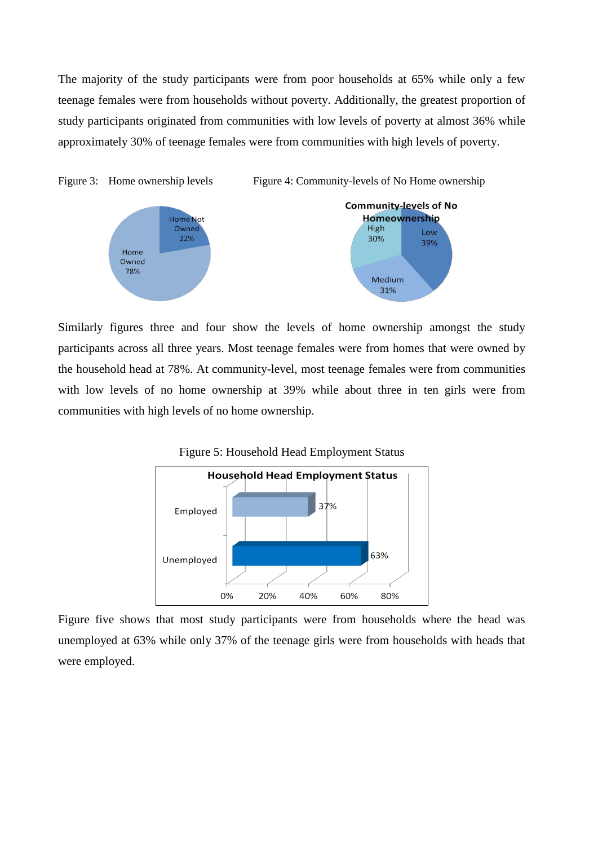The majority of the study participants were from poor households at 65% while only a few teenage females were from households without poverty. Additionally, the greatest proportion of study participants originated from communities with low levels of poverty at almost 36% while approximately 30% of teenage females were from communities with high levels of poverty.



Similarly figures three and four show the levels of home ownership amongst the study participants across all three years. Most teenage females were from homes that were owned by the household head at 78%. At community-level, most teenage females were from communities with low levels of no home ownership at 39% while about three in ten girls were from communities with high levels of no home ownership.



Figure five shows that most study participants were from households where the head was unemployed at 63% while only 37% of the teenage girls were from households with heads that were employed.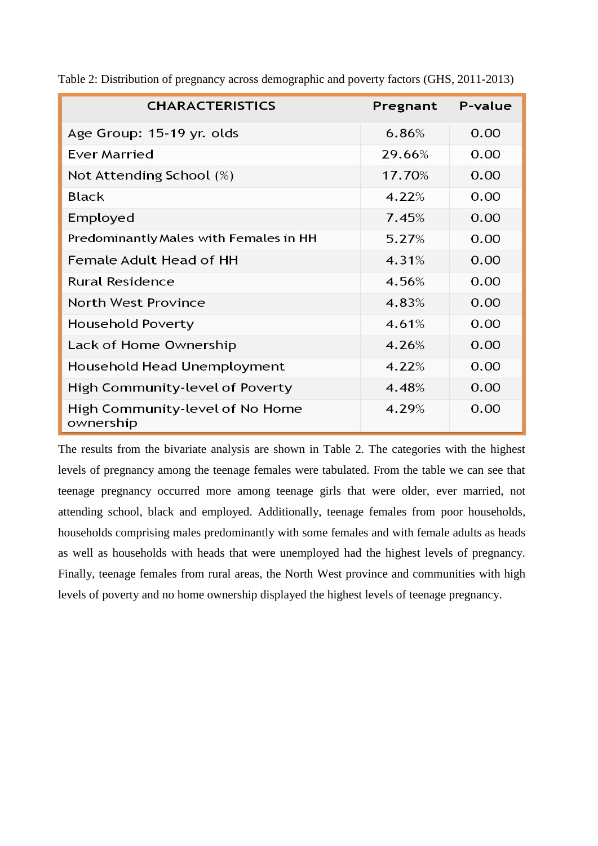| <b>CHARACTERISTICS</b>                       | Pregnant | P-value |
|----------------------------------------------|----------|---------|
| Age Group: 15-19 yr. olds                    | 6.86%    | 0.00    |
| <b>Ever Married</b>                          | 29.66%   | 0.00    |
| Not Attending School (%)                     | 17.70%   | 0.00    |
| <b>Black</b>                                 | 4.22%    | 0.00    |
| Employed                                     | 7.45%    | 0.00    |
| Predominantly Males with Females in HH       | 5.27%    | 0.00    |
| Female Adult Head of HH                      | 4.31%    | 0.00    |
| <b>Rural Residence</b>                       | 4.56%    | 0.00    |
| <b>North West Province</b>                   | 4.83%    | 0.00    |
| Household Poverty                            | 4.61%    | 0.00    |
| Lack of Home Ownership                       | 4.26%    | 0.00    |
| Household Head Unemployment                  | 4.22%    | 0.00    |
| High Community-level of Poverty              | 4.48%    | 0.00    |
| High Community-level of No Home<br>ownership | 4.29%    | 0.00    |

Table 2: Distribution of pregnancy across demographic and poverty factors (GHS, 2011-2013)

The results from the bivariate analysis are shown in Table 2. The categories with the highest levels of pregnancy among the teenage females were tabulated. From the table we can see that teenage pregnancy occurred more among teenage girls that were older, ever married, not attending school, black and employed. Additionally, teenage females from poor households, households comprising males predominantly with some females and with female adults as heads as well as households with heads that were unemployed had the highest levels of pregnancy. Finally, teenage females from rural areas, the North West province and communities with high levels of poverty and no home ownership displayed the highest levels of teenage pregnancy.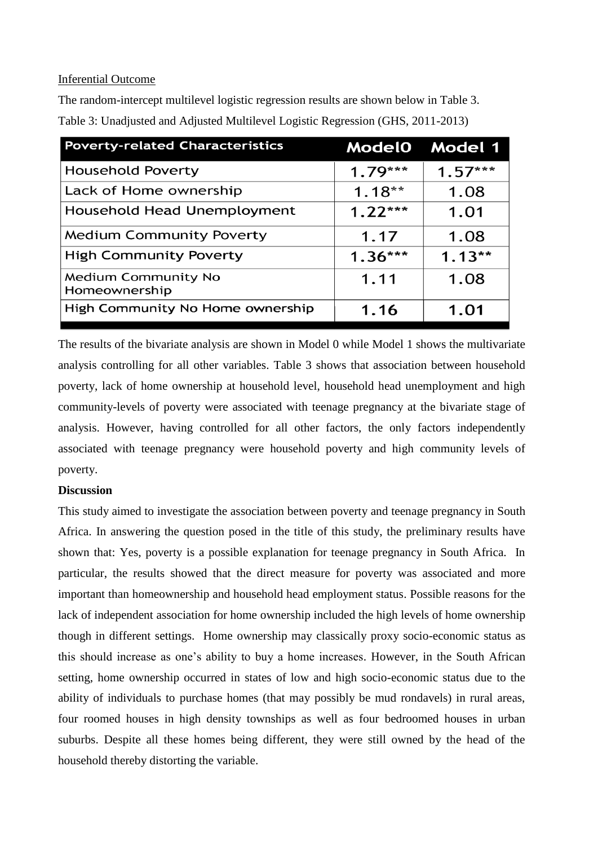# Inferential Outcome

The random-intercept multilevel logistic regression results are shown below in Table 3. Table 3: Unadjusted and Adjusted Multilevel Logistic Regression (GHS, 2011-2013)

| <b>Poverty-related Characteristics</b>      | <b>Model0</b> | <b>Model 1</b> |
|---------------------------------------------|---------------|----------------|
| <b>Household Poverty</b>                    | $1.79***$     | $1.57***$      |
| Lack of Home ownership                      | $1.18**$      | 1.08           |
| Household Head Unemployment                 | $1.22***$     | 1.01           |
| <b>Medium Community Poverty</b>             | 1.17          | 1.08           |
| <b>High Community Poverty</b>               | $1.36***$     | $1.13**$       |
| <b>Medium Community No</b><br>Homeownership | 1.11          | 1.08           |
| High Community No Home ownership            | 1.16          | 1.01           |

The results of the bivariate analysis are shown in Model 0 while Model 1 shows the multivariate analysis controlling for all other variables. Table 3 shows that association between household poverty, lack of home ownership at household level, household head unemployment and high community-levels of poverty were associated with teenage pregnancy at the bivariate stage of analysis. However, having controlled for all other factors, the only factors independently associated with teenage pregnancy were household poverty and high community levels of poverty.

# **Discussion**

This study aimed to investigate the association between poverty and teenage pregnancy in South Africa. In answering the question posed in the title of this study, the preliminary results have shown that: Yes, poverty is a possible explanation for teenage pregnancy in South Africa. In particular, the results showed that the direct measure for poverty was associated and more important than homeownership and household head employment status. Possible reasons for the lack of independent association for home ownership included the high levels of home ownership though in different settings. Home ownership may classically proxy socio-economic status as this should increase as one's ability to buy a home increases. However, in the South African setting, home ownership occurred in states of low and high socio-economic status due to the ability of individuals to purchase homes (that may possibly be mud rondavels) in rural areas, four roomed houses in high density townships as well as four bedroomed houses in urban suburbs. Despite all these homes being different, they were still owned by the head of the household thereby distorting the variable.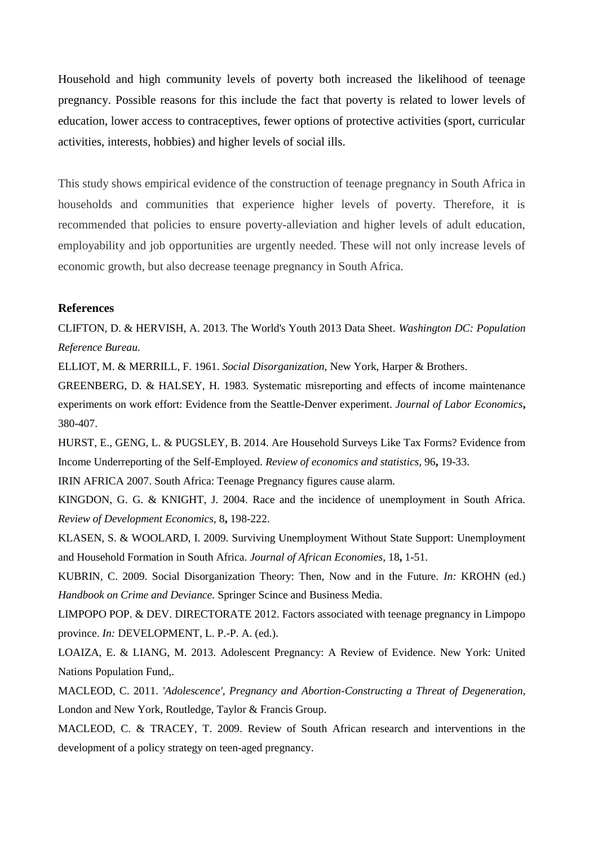Household and high community levels of poverty both increased the likelihood of teenage pregnancy. Possible reasons for this include the fact that poverty is related to lower levels of education, lower access to contraceptives, fewer options of protective activities (sport, curricular activities, interests, hobbies) and higher levels of social ills.

This study shows empirical evidence of the construction of teenage pregnancy in South Africa in households and communities that experience higher levels of poverty. Therefore, it is recommended that policies to ensure poverty-alleviation and higher levels of adult education, employability and job opportunities are urgently needed. These will not only increase levels of economic growth, but also decrease teenage pregnancy in South Africa.

### **References**

<span id="page-11-2"></span>CLIFTON, D. & HERVISH, A. 2013. The World's Youth 2013 Data Sheet. *Washington DC: Population Reference Bureau*.

<span id="page-11-6"></span>ELLIOT, M. & MERRILL, F. 1961. *Social Disorganization,* New York, Harper & Brothers.

<span id="page-11-10"></span>GREENBERG, D. & HALSEY, H. 1983. Systematic misreporting and effects of income maintenance experiments on work effort: Evidence from the Seattle-Denver experiment. *Journal of Labor Economics***,** 380-407.

<span id="page-11-11"></span>HURST, E., GENG, L. & PUGSLEY, B. 2014. Are Household Surveys Like Tax Forms? Evidence from Income Underreporting of the Self-Employed. *Review of economics and statistics,* 96**,** 19-33.

<span id="page-11-4"></span>IRIN AFRICA 2007. South Africa: Teenage Pregnancy figures cause alarm.

<span id="page-11-8"></span>KINGDON, G. G. & KNIGHT, J. 2004. Race and the incidence of unemployment in South Africa. *Review of Development Economics,* 8**,** 198-222.

<span id="page-11-9"></span>KLASEN, S. & WOOLARD, I. 2009. Surviving Unemployment Without State Support: Unemployment and Household Formation in South Africa. *Journal of African Economies,* 18**,** 1-51.

<span id="page-11-7"></span>KUBRIN, C. 2009. Social Disorganization Theory: Then, Now and in the Future. *In:* KROHN (ed.) *Handbook on Crime and Deviance.* Springer Scince and Business Media.

<span id="page-11-3"></span>LIMPOPO POP. & DEV. DIRECTORATE 2012. Factors associated with teenage pregnancy in Limpopo province. *In:* DEVELOPMENT, L. P.-P. A. (ed.).

<span id="page-11-1"></span>LOAIZA, E. & LIANG, M. 2013. Adolescent Pregnancy: A Review of Evidence. New York: United Nations Population Fund,.

<span id="page-11-0"></span>MACLEOD, C. 2011. *'Adolescence', Pregnancy and Abortion-Constructing a Threat of Degeneration,*  London and New York, Routledge, Taylor & Francis Group.

<span id="page-11-5"></span>MACLEOD, C. & TRACEY, T. 2009. Review of South African research and interventions in the development of a policy strategy on teen-aged pregnancy.